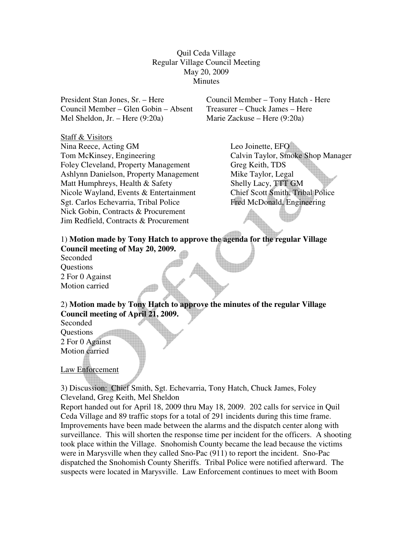Quil Ceda Village Regular Village Council Meeting May 20, 2009 Minutes

President Stan Jones, Sr. – Here Council Member – Tony Hatch - Here Council Member – Glen Gobin – Absent Treasurer – Chuck James – Here Mel Sheldon, Jr. – Here (9:20a) Marie Zackuse – Here (9:20a)

Staff & Visitors

Nina Reece, Acting GM Leo Joinette, EFO Tom McKinsey, Engineering Calvin Taylor, Smoke Shop Manager Foley Cleveland, Property Management Greg Keith, TDS Ashlynn Danielson, Property Management Mike Taylor, Legal Matt Humphreys, Health & Safety Shelly Lacy, TTT GM Nicole Wayland, Events & Entertainment Chief Scott Smith, Tribal Police Sgt. Carlos Echevarria, Tribal Police Fred McDonald, Engineering Nick Gobin, Contracts & Procurement Jim Redfield, Contracts & Procurement

## 1) **Motion made by Tony Hatch to approve the agenda for the regular Village Council meeting of May 20, 2009.**

Seconded Questions 2 For 0 Against Motion carried

2) **Motion made by Tony Hatch to approve the minutes of the regular Village Council meeting of April 21, 2009.** 

Seconded **Ouestions** 2 For 0 Against Motion carried

Law Enforcement

3) Discussion: Chief Smith, Sgt. Echevarria, Tony Hatch, Chuck James, Foley Cleveland, Greg Keith, Mel Sheldon

Report handed out for April 18, 2009 thru May 18, 2009. 202 calls for service in Quil Ceda Village and 89 traffic stops for a total of 291 incidents during this time frame. Improvements have been made between the alarms and the dispatch center along with surveillance. This will shorten the response time per incident for the officers. A shooting took place within the Village. Snohomish County became the lead because the victims were in Marysville when they called Sno-Pac (911) to report the incident. Sno-Pac dispatched the Snohomish County Sheriffs. Tribal Police were notified afterward. The suspects were located in Marysville. Law Enforcement continues to meet with Boom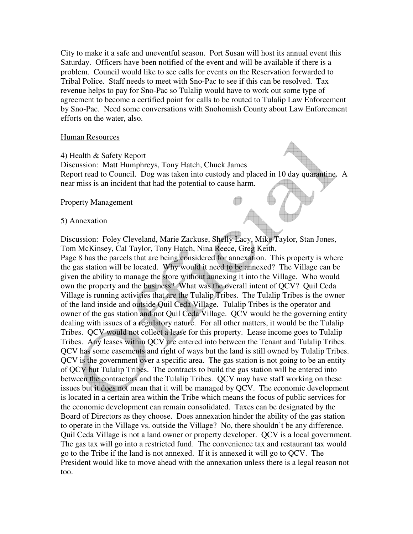City to make it a safe and uneventful season. Port Susan will host its annual event this Saturday. Officers have been notified of the event and will be available if there is a problem. Council would like to see calls for events on the Reservation forwarded to Tribal Police. Staff needs to meet with Sno-Pac to see if this can be resolved. Tax revenue helps to pay for Sno-Pac so Tulalip would have to work out some type of agreement to become a certified point for calls to be routed to Tulalip Law Enforcement by Sno-Pac. Need some conversations with Snohomish County about Law Enforcement efforts on the water, also.

## Human Resources

4) Health & Safety Report

Discussion: Matt Humphreys, Tony Hatch, Chuck James Report read to Council. Dog was taken into custody and placed in 10 day quarantine. A near miss is an incident that had the potential to cause harm.

## Property Management

## 5) Annexation

Discussion: Foley Cleveland, Marie Zackuse, Shelly Lacy, Mike Taylor, Stan Jones, Tom McKinsey, Cal Taylor, Tony Hatch, Nina Reece, Greg Keith, Page 8 has the parcels that are being considered for annexation. This property is where the gas station will be located. Why would it need to be annexed? The Village can be given the ability to manage the store without annexing it into the Village. Who would own the property and the business? What was the overall intent of QCV? Quil Ceda Village is running activities that are the Tulalip Tribes. The Tulalip Tribes is the owner of the land inside and outside Quil Ceda Village. Tulalip Tribes is the operator and owner of the gas station and not Quil Ceda Village. QCV would be the governing entity dealing with issues of a regulatory nature. For all other matters, it would be the Tulalip Tribes. QCV would not collect a lease for this property. Lease income goes to Tulalip Tribes. Any leases within QCV are entered into between the Tenant and Tulalip Tribes. QCV has some easements and right of ways but the land is still owned by Tulalip Tribes. QCV is the government over a specific area. The gas station is not going to be an entity of QCV but Tulalip Tribes. The contracts to build the gas station will be entered into between the contractors and the Tulalip Tribes. QCV may have staff working on these issues but it does not mean that it will be managed by QCV. The economic development is located in a certain area within the Tribe which means the focus of public services for the economic development can remain consolidated. Taxes can be designated by the Board of Directors as they choose. Does annexation hinder the ability of the gas station to operate in the Village vs. outside the Village? No, there shouldn't be any difference. Quil Ceda Village is not a land owner or property developer. QCV is a local government. The gas tax will go into a restricted fund. The convenience tax and restaurant tax would go to the Tribe if the land is not annexed. If it is annexed it will go to QCV. The President would like to move ahead with the annexation unless there is a legal reason not too.